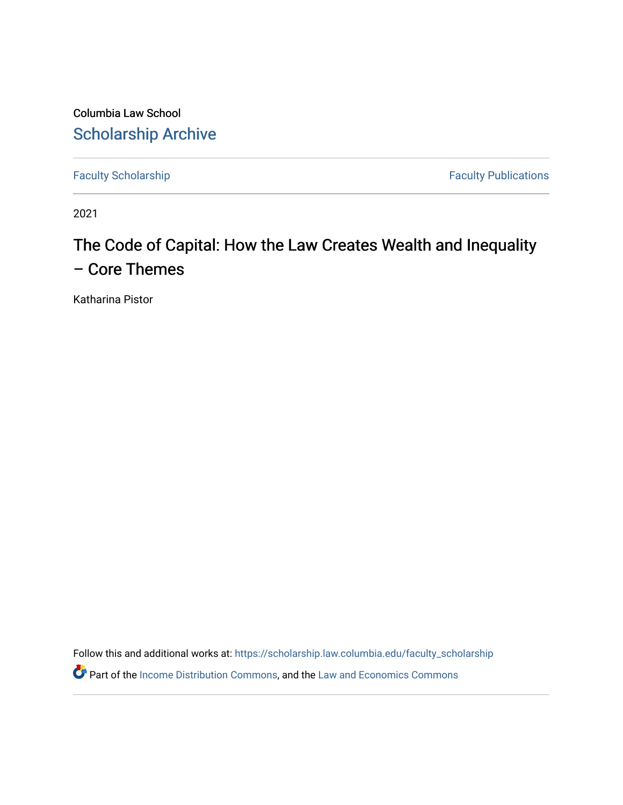Columbia Law School [Scholarship Archive](https://scholarship.law.columbia.edu/) 

[Faculty Scholarship](https://scholarship.law.columbia.edu/faculty_scholarship) **Faculty Publications** 

2021

# The Code of Capital: How the Law Creates Wealth and Inequality – Core Themes

Katharina Pistor

Follow this and additional works at: [https://scholarship.law.columbia.edu/faculty\\_scholarship](https://scholarship.law.columbia.edu/faculty_scholarship?utm_source=scholarship.law.columbia.edu%2Ffaculty_scholarship%2F3183&utm_medium=PDF&utm_campaign=PDFCoverPages)

**Part of the [Income Distribution Commons,](http://network.bepress.com/hgg/discipline/1269?utm_source=scholarship.law.columbia.edu%2Ffaculty_scholarship%2F3183&utm_medium=PDF&utm_campaign=PDFCoverPages) and the Law and Economics Commons**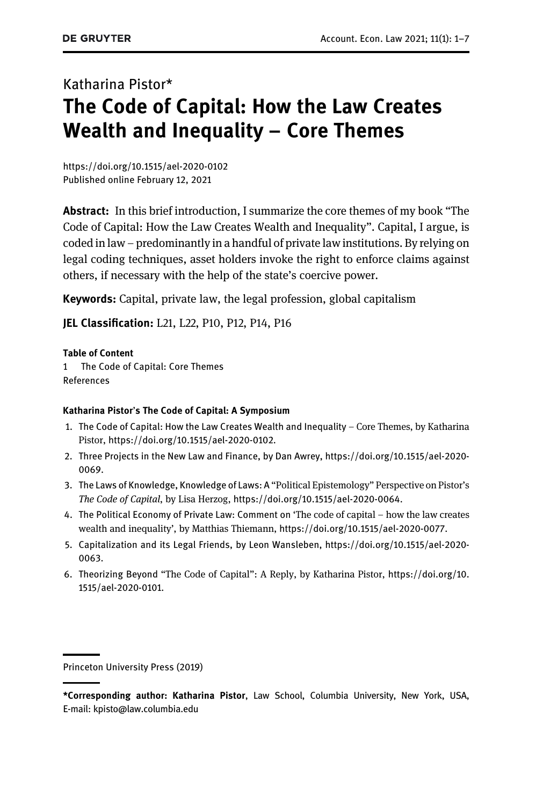# Katharina Pistor\* The Code of Capital: How the Law Creates Wealth and Inequality – Core Themes

<https://doi.org/10.1515/ael-2020-0102> [Published online February 12, 2021](https://doi.org/10.1515/ael-2020-0102)

Abstract: In this brief introduction, I summarize the core themes of my book "The Code of Capital: How the Law Creates Wealth and Inequality". Capital, I argue, is coded in law – predominantly in a handful of private law institutions. By relying on legal coding techniques, asset holders invoke the right to enforce claims against others, if necessary with the help of the state's coercive power.

Keywords: Capital, private law, the legal profession, global capitalism

JEL Classification: L21, L22, P10, P12, P14, P16

Table of Content

[1 The Code of Capital: Core Themes](#page-2-0) References

#### Katharina Pistor's The Code of Capital: A Symposium

- 1. The Code of Capital: How the Law Creates Wealth and Inequality Core Themes, by Katharina Pistor, <https://doi.org/10.1515/ael-2020-0102>.
- 2. Three Projects in the New Law and Finance, by Dan Awrey, [https://doi.org/10.1515/ael-2020-](https://doi.org/10.1515/ael-2020-0069) [0069](https://doi.org/10.1515/ael-2020-0069).
- 3. The Laws of Knowledge, Knowledge of Laws: A "Political Epistemology" Perspective on Pistor's The Code of Capital, by Lisa Herzog, <https://doi.org/10.1515/ael-2020-0064>.
- 4. The Political Economy of Private Law: Comment on 'The code of capital how the law creates wealth and inequality', by Matthias Thiemann, <https://doi.org/10.1515/ael-2020-0077>.
- 5. Capitalization and its Legal Friends, by Leon Wansleben, [https://doi.org/10.1515/ael-2020-](https://doi.org/10.1515/ael-2020-0063) [0063](https://doi.org/10.1515/ael-2020-0063).
- 6. Theorizing Beyond "The Code of Capital": A Reply, by Katharina Pistor, [https://doi.org/10.](https://doi.org/10.1515/ael-2020-0101) [1515/ael-2020-0101](https://doi.org/10.1515/ael-2020-0101).

Princeton University Press (2019)

<sup>\*</sup>Corresponding author: Katharina Pistor, Law School, Columbia University, New York, USA, E-mail: [kpisto@law.columbia.edu](mailto:kpisto@law.columbia.edu)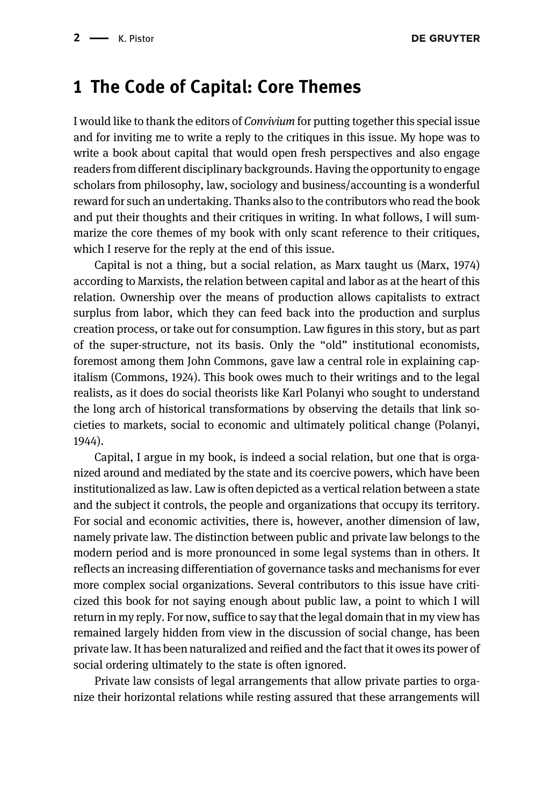### <span id="page-2-0"></span>1 The Code of Capital: Core Themes

I would like to thank the editors of Convivium for putting together this special issue and for inviting me to write a reply to the critiques in this issue. My hope was to write a book about capital that would open fresh perspectives and also engage readers from different disciplinary backgrounds. Having the opportunity to engage scholars from philosophy, law, sociology and business/accounting is a wonderful reward for such an undertaking. Thanks also to the contributors who read the book and put their thoughts and their critiques in writing. In what follows, I will summarize the core themes of my book with only scant reference to their critiques, which I reserve for the reply at the end of this issue.

Capital is not a thing, but a social relation, as Marx taught us [\(Marx, 1974](#page-7-0)) according to Marxists, the relation between capital and labor as at the heart of this relation. Ownership over the means of production allows capitalists to extract surplus from labor, which they can feed back into the production and surplus creation process, or take out for consumption. Law figures in this story, but as part of the super-structure, not its basis. Only the "old" institutional economists, foremost among them John Commons, gave law a central role in explaining capitalism ([Commons, 1924\)](#page-7-1). This book owes much to their writings and to the legal realists, as it does do social theorists like Karl Polanyi who sought to understand the long arch of historical transformations by observing the details that link societies to markets, social to economic and ultimately political change ([Polanyi,](#page-7-2) [1944](#page-7-2)).

Capital, I argue in my book, is indeed a social relation, but one that is organized around and mediated by the state and its coercive powers, which have been institutionalized as law. Law is often depicted as a vertical relation between a state and the subject it controls, the people and organizations that occupy its territory. For social and economic activities, there is, however, another dimension of law, namely private law. The distinction between public and private law belongs to the modern period and is more pronounced in some legal systems than in others. It reflects an increasing differentiation of governance tasks and mechanisms for ever more complex social organizations. Several contributors to this issue have criticized this book for not saying enough about public law, a point to which I will return in my reply. For now, suffice to say that the legal domain that in my view has remained largely hidden from view in the discussion of social change, has been private law. It has been naturalized and reified and the fact that it owes its power of social ordering ultimately to the state is often ignored.

Private law consists of legal arrangements that allow private parties to organize their horizontal relations while resting assured that these arrangements will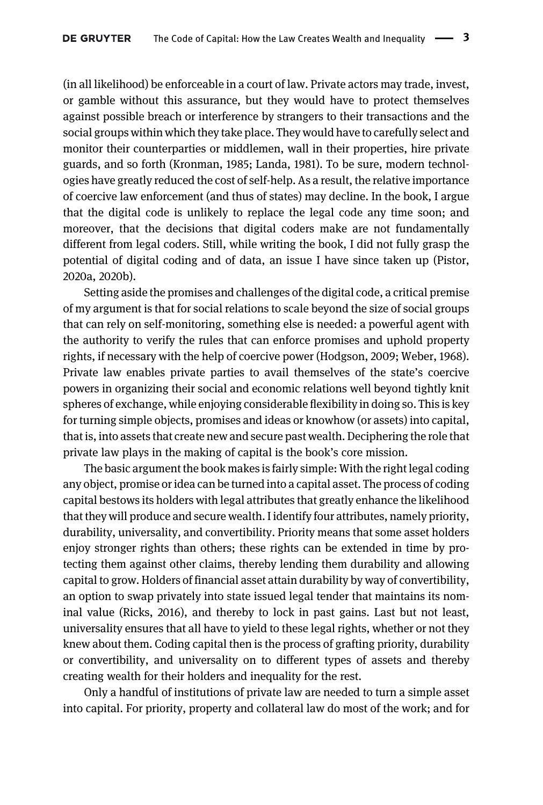(in all likelihood) be enforceable in a court of law. Private actors may trade, invest, or gamble without this assurance, but they would have to protect themselves against possible breach or interference by strangers to their transactions and the social groups within which they take place. They would have to carefully select and monitor their counterparties or middlemen, wall in their properties, hire private guards, and so forth [\(Kronman, 1985](#page-7-3); [Landa, 1981\)](#page-7-4). To be sure, modern technologies have greatly reduced the cost of self-help. As a result, the relative importance of coercive law enforcement (and thus of states) may decline. In the book, I argue that the digital code is unlikely to replace the legal code any time soon; and moreover, that the decisions that digital coders make are not fundamentally different from legal coders. Still, while writing the book, I did not fully grasp the potential of digital coding and of data, an issue I have since taken up ([Pistor,](#page-7-5) [2020a,](#page-7-5) [2020b\)](#page-7-6).

Setting aside the promises and challenges of the digital code, a critical premise of my argument is that for social relations to scale beyond the size of social groups that can rely on self-monitoring, something else is needed: a powerful agent with the authority to verify the rules that can enforce promises and uphold property rights, if necessary with the help of coercive power ([Hodgson, 2009;](#page-7-7) [Weber, 1968](#page-7-8)). Private law enables private parties to avail themselves of the state's coercive powers in organizing their social and economic relations well beyond tightly knit spheres of exchange, while enjoying considerable flexibility in doing so. This is key for turning simple objects, promises and ideas or knowhow (or assets) into capital, that is, into assets that create new and secure past wealth. Deciphering the role that private law plays in the making of capital is the book's core mission.

The basic argument the book makes is fairly simple: With the right legal coding any object, promise or idea can be turned into a capital asset. The process of coding capital bestows its holders with legal attributes that greatly enhance the likelihood that they will produce and secure wealth. I identify four attributes, namely priority, durability, universality, and convertibility. Priority means that some asset holders enjoy stronger rights than others; these rights can be extended in time by protecting them against other claims, thereby lending them durability and allowing capital to grow. Holders of financial asset attain durability by way of convertibility, an option to swap privately into state issued legal tender that maintains its nominal value [\(Ricks, 2016\)](#page-7-9), and thereby to lock in past gains. Last but not least, universality ensures that all have to yield to these legal rights, whether or not they knew about them. Coding capital then is the process of grafting priority, durability or convertibility, and universality on to different types of assets and thereby creating wealth for their holders and inequality for the rest.

Only a handful of institutions of private law are needed to turn a simple asset into capital. For priority, property and collateral law do most of the work; and for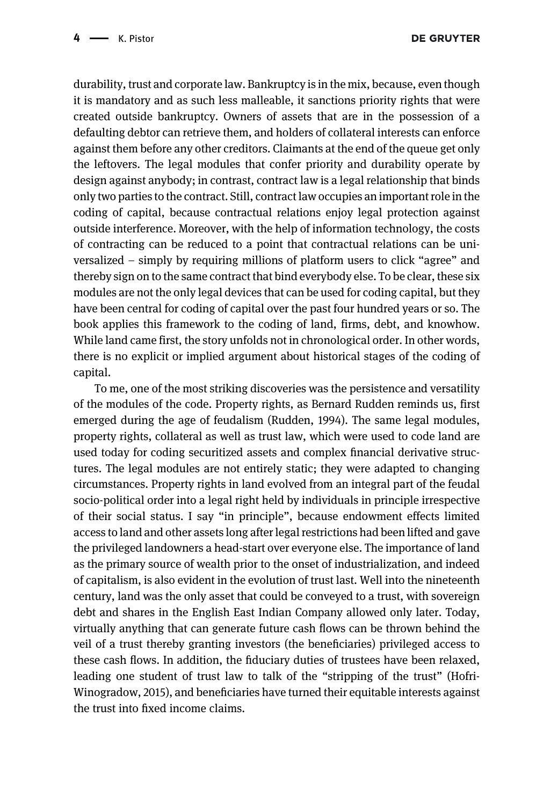durability, trust and corporate law. Bankruptcy is in the mix, because, even though it is mandatory and as such less malleable, it sanctions priority rights that were created outside bankruptcy. Owners of assets that are in the possession of a defaulting debtor can retrieve them, and holders of collateral interests can enforce against them before any other creditors. Claimants at the end of the queue get only the leftovers. The legal modules that confer priority and durability operate by design against anybody; in contrast, contract law is a legal relationship that binds only two parties to the contract. Still, contract law occupies an important role in the coding of capital, because contractual relations enjoy legal protection against outside interference. Moreover, with the help of information technology, the costs of contracting can be reduced to a point that contractual relations can be universalized – simply by requiring millions of platform users to click "agree" and thereby sign on to the same contract that bind everybody else. To be clear, these six modules are not the only legal devices that can be used for coding capital, but they have been central for coding of capital over the past four hundred years or so. The book applies this framework to the coding of land, firms, debt, and knowhow. While land came first, the story unfolds not in chronological order. In other words, there is no explicit or implied argument about historical stages of the coding of capital.

To me, one of the most striking discoveries was the persistence and versatility of the modules of the code. Property rights, as Bernard Rudden reminds us, first emerged during the age of feudalism ([Rudden, 1994](#page-7-10)). The same legal modules, property rights, collateral as well as trust law, which were used to code land are used today for coding securitized assets and complex financial derivative structures. The legal modules are not entirely static; they were adapted to changing circumstances. Property rights in land evolved from an integral part of the feudal socio-political order into a legal right held by individuals in principle irrespective of their social status. I say "in principle", because endowment effects limited access to land and other assets long after legal restrictions had been lifted and gave the privileged landowners a head-start over everyone else. The importance of land as the primary source of wealth prior to the onset of industrialization, and indeed of capitalism, is also evident in the evolution of trust last. Well into the nineteenth century, land was the only asset that could be conveyed to a trust, with sovereign debt and shares in the English East Indian Company allowed only later. Today, virtually anything that can generate future cash flows can be thrown behind the veil of a trust thereby granting investors (the beneficiaries) privileged access to these cash flows. In addition, the fiduciary duties of trustees have been relaxed, leading one student of trust law to talk of the "stripping of the trust" ([Hofri-](#page-7-11)[Winogradow, 2015\)](#page-7-11), and beneficiaries have turned their equitable interests against the trust into fixed income claims.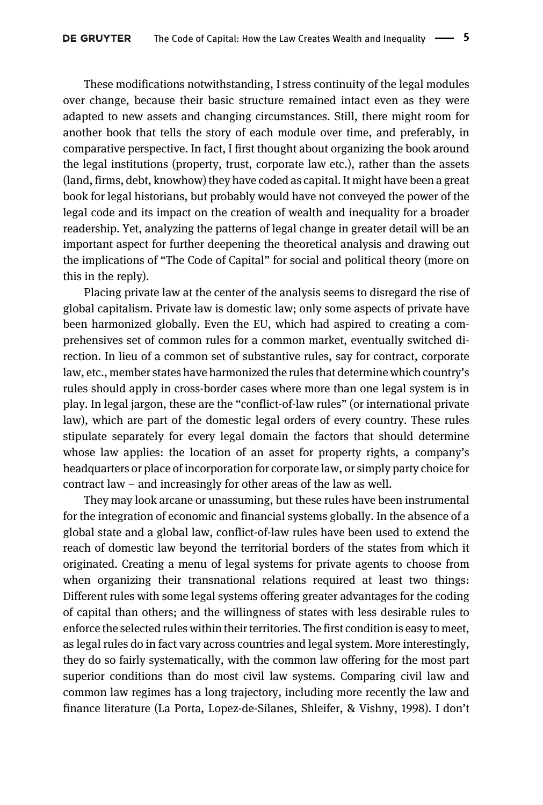These modifications notwithstanding, I stress continuity of the legal modules over change, because their basic structure remained intact even as they were adapted to new assets and changing circumstances. Still, there might room for another book that tells the story of each module over time, and preferably, in comparative perspective. In fact, I first thought about organizing the book around the legal institutions (property, trust, corporate law etc.), rather than the assets (land, firms, debt, knowhow) they have coded as capital. It might have been a great book for legal historians, but probably would have not conveyed the power of the legal code and its impact on the creation of wealth and inequality for a broader readership. Yet, analyzing the patterns of legal change in greater detail will be an important aspect for further deepening the theoretical analysis and drawing out the implications of "The Code of Capital" for social and political theory (more on this in the reply).

Placing private law at the center of the analysis seems to disregard the rise of global capitalism. Private law is domestic law; only some aspects of private have been harmonized globally. Even the EU, which had aspired to creating a comprehensives set of common rules for a common market, eventually switched direction. In lieu of a common set of substantive rules, say for contract, corporate law, etc., member states have harmonized the rules that determine which country's rules should apply in cross-border cases where more than one legal system is in play. In legal jargon, these are the "conflict-of-law rules" (or international private law), which are part of the domestic legal orders of every country. These rules stipulate separately for every legal domain the factors that should determine whose law applies: the location of an asset for property rights, a company's headquarters or place of incorporation for corporate law, or simply party choice for contract law – and increasingly for other areas of the law as well.

They may look arcane or unassuming, but these rules have been instrumental for the integration of economic and financial systems globally. In the absence of a global state and a global law, conflict-of-law rules have been used to extend the reach of domestic law beyond the territorial borders of the states from which it originated. Creating a menu of legal systems for private agents to choose from when organizing their transnational relations required at least two things: Different rules with some legal systems offering greater advantages for the coding of capital than others; and the willingness of states with less desirable rules to enforce the selected rules within their territories. The first condition is easy to meet, as legal rules do in fact vary across countries and legal system. More interestingly, they do so fairly systematically, with the common law offering for the most part superior conditions than do most civil law systems. Comparing civil law and common law regimes has a long trajectory, including more recently the law and finance literature ([La Porta, Lopez-de-Silanes, Shleifer, & Vishny, 1998\)](#page-7-12). I don't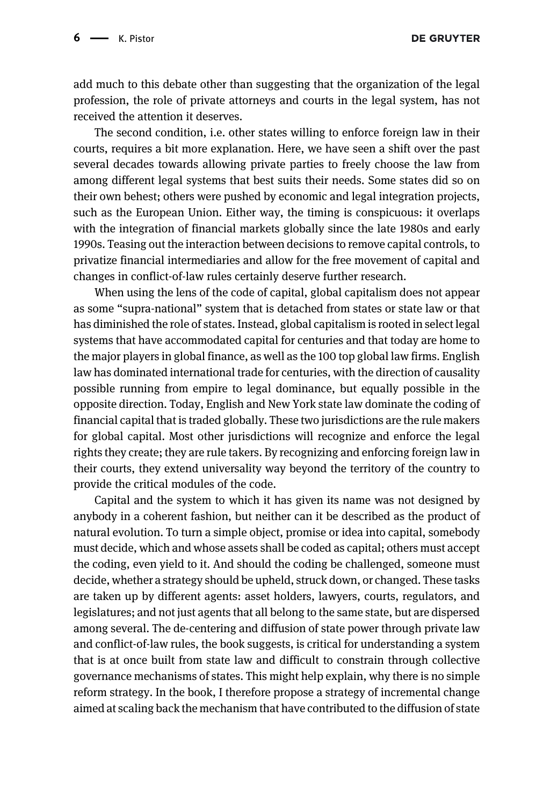DE GRUYTER

add much to this debate other than suggesting that the organization of the legal profession, the role of private attorneys and courts in the legal system, has not received the attention it deserves.

The second condition, i.e. other states willing to enforce foreign law in their courts, requires a bit more explanation. Here, we have seen a shift over the past several decades towards allowing private parties to freely choose the law from among different legal systems that best suits their needs. Some states did so on their own behest; others were pushed by economic and legal integration projects, such as the European Union. Either way, the timing is conspicuous: it overlaps with the integration of financial markets globally since the late 1980s and early 1990s. Teasing out the interaction between decisions to remove capital controls, to privatize financial intermediaries and allow for the free movement of capital and changes in conflict-of-law rules certainly deserve further research.

When using the lens of the code of capital, global capitalism does not appear as some "supra-national" system that is detached from states or state law or that has diminished the role of states. Instead, global capitalism is rooted in select legal systems that have accommodated capital for centuries and that today are home to the major players in global finance, as well as the 100 top global law firms. English law has dominated international trade for centuries, with the direction of causality possible running from empire to legal dominance, but equally possible in the opposite direction. Today, English and New York state law dominate the coding of financial capital that is traded globally. These two jurisdictions are the rule makers for global capital. Most other jurisdictions will recognize and enforce the legal rights they create; they are rule takers. By recognizing and enforcing foreign law in their courts, they extend universality way beyond the territory of the country to provide the critical modules of the code.

Capital and the system to which it has given its name was not designed by anybody in a coherent fashion, but neither can it be described as the product of natural evolution. To turn a simple object, promise or idea into capital, somebody must decide, which and whose assets shall be coded as capital; others must accept the coding, even yield to it. And should the coding be challenged, someone must decide, whether a strategy should be upheld, struck down, or changed. These tasks are taken up by different agents: asset holders, lawyers, courts, regulators, and legislatures; and not just agents that all belong to the same state, but are dispersed among several. The de-centering and diffusion of state power through private law and conflict-of-law rules, the book suggests, is critical for understanding a system that is at once built from state law and difficult to constrain through collective governance mechanisms of states. This might help explain, why there is no simple reform strategy. In the book, I therefore propose a strategy of incremental change aimed at scaling back the mechanism that have contributed to the diffusion of state